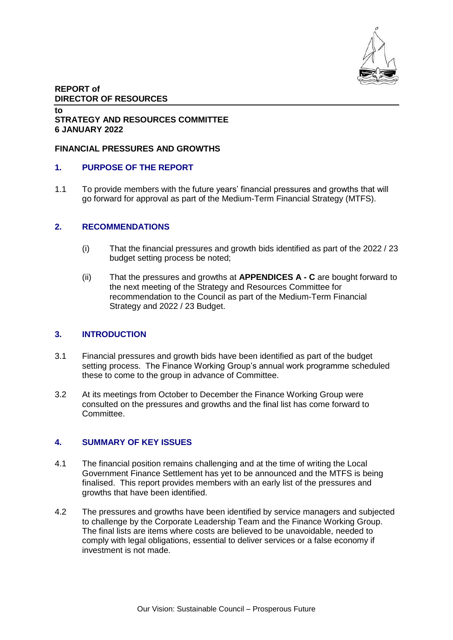

### **REPORT of DIRECTOR OF RESOURCES**

#### **to STRATEGY AND RESOURCES COMMITTEE 6 JANUARY 2022**

### **FINANCIAL PRESSURES AND GROWTHS**

## **1. PURPOSE OF THE REPORT**

1.1 To provide members with the future years' financial pressures and growths that will go forward for approval as part of the Medium-Term Financial Strategy (MTFS).

## **2. RECOMMENDATIONS**

- (i) That the financial pressures and growth bids identified as part of the 2022 / 23 budget setting process be noted;
- (ii) That the pressures and growths at **APPENDICES A - C** are bought forward to the next meeting of the Strategy and Resources Committee for recommendation to the Council as part of the Medium-Term Financial Strategy and 2022 / 23 Budget.

### **3. INTRODUCTION**

- 3.1 Financial pressures and growth bids have been identified as part of the budget setting process. The Finance Working Group's annual work programme scheduled these to come to the group in advance of Committee.
- 3.2 At its meetings from October to December the Finance Working Group were consulted on the pressures and growths and the final list has come forward to Committee.

### **4. SUMMARY OF KEY ISSUES**

- 4.1 The financial position remains challenging and at the time of writing the Local Government Finance Settlement has yet to be announced and the MTFS is being finalised. This report provides members with an early list of the pressures and growths that have been identified.
- 4.2 The pressures and growths have been identified by service managers and subjected to challenge by the Corporate Leadership Team and the Finance Working Group. The final lists are items where costs are believed to be unavoidable, needed to comply with legal obligations, essential to deliver services or a false economy if investment is not made.